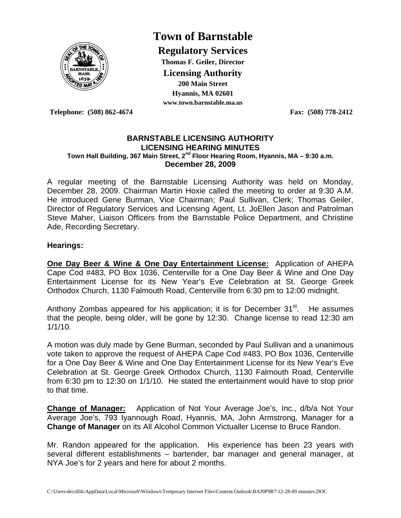

# **Town of Barnstable**

**Regulatory Services Thomas F. Geiler, Director Licensing Authority 200 Main Street Hyannis, MA 02601 www.town.barnstable.ma.us**

**Telephone: (508) 862-4674 Fax: (508) 778-2412** 

#### **BARNSTABLE LICENSING AUTHORITY LICENSING HEARING MINUTES Town Hall Building, 367 Main Street, 2nd Floor Hearing Room, Hyannis, MA – 9:30 a.m. December 28, 2009**

A regular meeting of the Barnstable Licensing Authority was held on Monday, December 28, 2009. Chairman Martin Hoxie called the meeting to order at 9:30 A.M. He introduced Gene Burman, Vice Chairman; Paul Sullivan, Clerk; Thomas Geiler, Director of Regulatory Services and Licensing Agent, Lt. JoEllen Jason and Patrolman Steve Maher, Liaison Officers from the Barnstable Police Department, and Christine Ade, Recording Secretary.

### **Hearings:**

**One Day Beer & Wine & One Day Entertainment License:** Application of AHEPA Cape Cod #483, PO Box 1036, Centerville for a One Day Beer & Wine and One Day Entertainment License for its New Year's Eve Celebration at St. George Greek Orthodox Church, 1130 Falmouth Road, Centerville from 6:30 pm to 12:00 midnight.

Anthony Zombas appeared for his application; it is for December  $31<sup>st</sup>$ . He assumes that the people, being older, will be gone by 12:30. Change license to read 12:30 am 1/1/10.

A motion was duly made by Gene Burman, seconded by Paul Sullivan and a unanimous vote taken to approve the request of AHEPA Cape Cod #483, PO Box 1036, Centerville for a One Day Beer & Wine and One Day Entertainment License for its New Year's Eve Celebration at St. George Greek Orthodox Church, 1130 Falmouth Road, Centerville from 6:30 pm to 12:30 on 1/1/10. He stated the entertainment would have to stop prior to that time.

**Change of Manager:** Application of Not Your Average Joe's, Inc., d/b/a Not Your Average Joe's, 793 Iyannough Road, Hyannis, MA, John Armstrong, Manager for a **Change of Manager** on its All Alcohol Common Victualler License to Bruce Randon.

Mr. Randon appeared for the application. His experience has been 23 years with several different establishments – bartender, bar manager and general manager, at NYA Joe's for 2 years and here for about 2 months.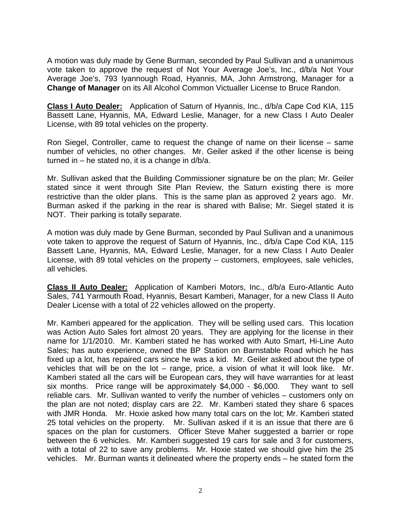A motion was duly made by Gene Burman, seconded by Paul Sullivan and a unanimous vote taken to approve the request of Not Your Average Joe's, Inc., d/b/a Not Your Average Joe's, 793 Iyannough Road, Hyannis, MA, John Armstrong, Manager for a **Change of Manager** on its All Alcohol Common Victualler License to Bruce Randon.

**Class I Auto Dealer:** Application of Saturn of Hyannis, Inc., d/b/a Cape Cod KIA, 115 Bassett Lane, Hyannis, MA, Edward Leslie, Manager, for a new Class I Auto Dealer License, with 89 total vehicles on the property.

Ron Siegel, Controller, came to request the change of name on their license – same number of vehicles, no other changes. Mr. Geiler asked if the other license is being turned in – he stated no, it is a change in  $d/b/a$ .

Mr. Sullivan asked that the Building Commissioner signature be on the plan; Mr. Geiler stated since it went through Site Plan Review, the Saturn existing there is more restrictive than the older plans. This is the same plan as approved 2 years ago. Mr. Burman asked if the parking in the rear is shared with Balise; Mr. Siegel stated it is NOT. Their parking is totally separate.

A motion was duly made by Gene Burman, seconded by Paul Sullivan and a unanimous vote taken to approve the request of Saturn of Hyannis, Inc., d/b/a Cape Cod KIA, 115 Bassett Lane, Hyannis, MA, Edward Leslie, Manager, for a new Class I Auto Dealer License, with 89 total vehicles on the property – customers, employees, sale vehicles, all vehicles.

**Class II Auto Dealer:** Application of Kamberi Motors, Inc., d/b/a Euro-Atlantic Auto Sales, 741 Yarmouth Road, Hyannis, Besart Kamberi, Manager, for a new Class II Auto Dealer License with a total of 22 vehicles allowed on the property.

Mr. Kamberi appeared for the application. They will be selling used cars. This location was Action Auto Sales fort almost 20 years. They are applying for the license in their name for 1/1/2010. Mr. Kamberi stated he has worked with Auto Smart, Hi-Line Auto Sales; has auto experience, owned the BP Station on Barnstable Road which he has fixed up a lot, has repaired cars since he was a kid. Mr. Geiler asked about the type of vehicles that will be on the lot – range, price, a vision of what it will look like. Mr. Kamberi stated all the cars will be European cars, they will have warranties for at least six months. Price range will be approximately \$4,000 - \$6,000. They want to sell reliable cars. Mr. Sullivan wanted to verify the number of vehicles – customers only on the plan are not noted; display cars are 22. Mr. Kamberi stated they share 6 spaces with JMR Honda. Mr. Hoxie asked how many total cars on the lot; Mr. Kamberi stated 25 total vehicles on the property. Mr. Sullivan asked if it is an issue that there are 6 spaces on the plan for customers. Officer Steve Maher suggested a barrier or rope between the 6 vehicles. Mr. Kamberi suggested 19 cars for sale and 3 for customers, with a total of 22 to save any problems. Mr. Hoxie stated we should give him the 25 vehicles. Mr. Burman wants it delineated where the property ends – he stated form the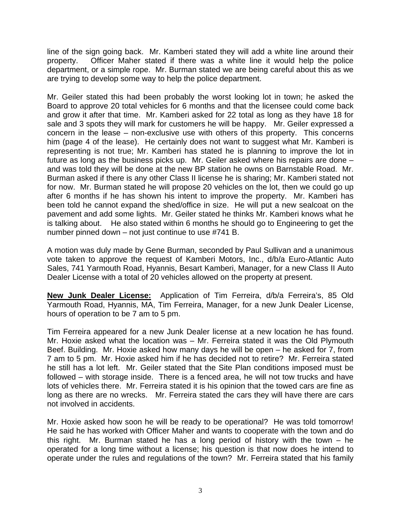line of the sign going back. Mr. Kamberi stated they will add a white line around their property. Officer Maher stated if there was a white line it would help the police department, or a simple rope. Mr. Burman stated we are being careful about this as we are trying to develop some way to help the police department.

Mr. Geiler stated this had been probably the worst looking lot in town; he asked the Board to approve 20 total vehicles for 6 months and that the licensee could come back and grow it after that time. Mr. Kamberi asked for 22 total as long as they have 18 for sale and 3 spots they will mark for customers he will be happy. Mr. Geiler expressed a concern in the lease – non-exclusive use with others of this property. This concerns him (page 4 of the lease). He certainly does not want to suggest what Mr. Kamberi is representing is not true; Mr. Kamberi has stated he is planning to improve the lot in future as long as the business picks up. Mr. Geiler asked where his repairs are done – and was told they will be done at the new BP station he owns on Barnstable Road. Mr. Burman asked if there is any other Class II license he is sharing; Mr. Kamberi stated not for now. Mr. Burman stated he will propose 20 vehicles on the lot, then we could go up after 6 months if he has shown his intent to improve the property. Mr. Kamberi has been told he cannot expand the shed/office in size. He will put a new sealcoat on the pavement and add some lights. Mr. Geiler stated he thinks Mr. Kamberi knows what he is talking about. He also stated within 6 months he should go to Engineering to get the number pinned down – not just continue to use #741 B.

A motion was duly made by Gene Burman, seconded by Paul Sullivan and a unanimous vote taken to approve the request of Kamberi Motors, Inc., d/b/a Euro-Atlantic Auto Sales, 741 Yarmouth Road, Hyannis, Besart Kamberi, Manager, for a new Class II Auto Dealer License with a total of 20 vehicles allowed on the property at present.

**New Junk Dealer License:** Application of Tim Ferreira, d/b/a Ferreira's, 85 Old Yarmouth Road, Hyannis, MA, Tim Ferreira, Manager, for a new Junk Dealer License, hours of operation to be 7 am to 5 pm.

Tim Ferreira appeared for a new Junk Dealer license at a new location he has found. Mr. Hoxie asked what the location was – Mr. Ferreira stated it was the Old Plymouth Beef. Building. Mr. Hoxie asked how many days he will be open – he asked for 7, from 7 am to 5 pm. Mr. Hoxie asked him if he has decided not to retire? Mr. Ferreira stated he still has a lot left. Mr. Geiler stated that the Site Plan conditions imposed must be followed – with storage inside. There is a fenced area, he will not tow trucks and have lots of vehicles there. Mr. Ferreira stated it is his opinion that the towed cars are fine as long as there are no wrecks. Mr. Ferreira stated the cars they will have there are cars not involved in accidents.

Mr. Hoxie asked how soon he will be ready to be operational? He was told tomorrow! He said he has worked with Officer Maher and wants to cooperate with the town and do this right. Mr. Burman stated he has a long period of history with the town – he operated for a long time without a license; his question is that now does he intend to operate under the rules and regulations of the town? Mr. Ferreira stated that his family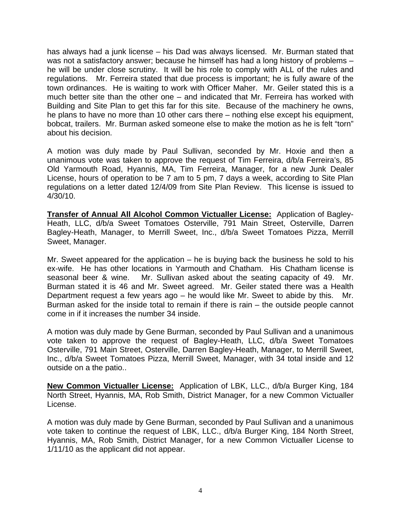has always had a junk license – his Dad was always licensed. Mr. Burman stated that was not a satisfactory answer; because he himself has had a long history of problems – he will be under close scrutiny. It will be his role to comply with ALL of the rules and regulations. Mr. Ferreira stated that due process is important; he is fully aware of the town ordinances. He is waiting to work with Officer Maher. Mr. Geiler stated this is a much better site than the other one – and indicated that Mr. Ferreira has worked with Building and Site Plan to get this far for this site. Because of the machinery he owns, he plans to have no more than 10 other cars there – nothing else except his equipment, bobcat, trailers. Mr. Burman asked someone else to make the motion as he is felt "torn" about his decision.

A motion was duly made by Paul Sullivan, seconded by Mr. Hoxie and then a unanimous vote was taken to approve the request of Tim Ferreira, d/b/a Ferreira's, 85 Old Yarmouth Road, Hyannis, MA, Tim Ferreira, Manager, for a new Junk Dealer License, hours of operation to be 7 am to 5 pm, 7 days a week, according to Site Plan regulations on a letter dated 12/4/09 from Site Plan Review. This license is issued to 4/30/10.

**Transfer of Annual All Alcohol Common Victualler License:** Application of Bagley-Heath, LLC, d/b/a Sweet Tomatoes Osterville, 791 Main Street, Osterville, Darren Bagley-Heath, Manager, to Merrill Sweet, Inc., d/b/a Sweet Tomatoes Pizza, Merrill Sweet, Manager.

Mr. Sweet appeared for the application  $-$  he is buying back the business he sold to his ex-wife. He has other locations in Yarmouth and Chatham. His Chatham license is seasonal beer & wine. Mr. Sullivan asked about the seating capacity of 49. Mr. Burman stated it is 46 and Mr. Sweet agreed. Mr. Geiler stated there was a Health Department request a few years ago – he would like Mr. Sweet to abide by this. Mr. Burman asked for the inside total to remain if there is rain – the outside people cannot come in if it increases the number 34 inside.

A motion was duly made by Gene Burman, seconded by Paul Sullivan and a unanimous vote taken to approve the request of Bagley-Heath, LLC, d/b/a Sweet Tomatoes Osterville, 791 Main Street, Osterville, Darren Bagley-Heath, Manager, to Merrill Sweet, Inc., d/b/a Sweet Tomatoes Pizza, Merrill Sweet, Manager, with 34 total inside and 12 outside on a the patio..

**New Common Victualler License:** Application of LBK, LLC., d/b/a Burger King, 184 North Street, Hyannis, MA, Rob Smith, District Manager, for a new Common Victualler License.

A motion was duly made by Gene Burman, seconded by Paul Sullivan and a unanimous vote taken to continue the request of LBK, LLC., d/b/a Burger King, 184 North Street, Hyannis, MA, Rob Smith, District Manager, for a new Common Victualler License to 1/11/10 as the applicant did not appear.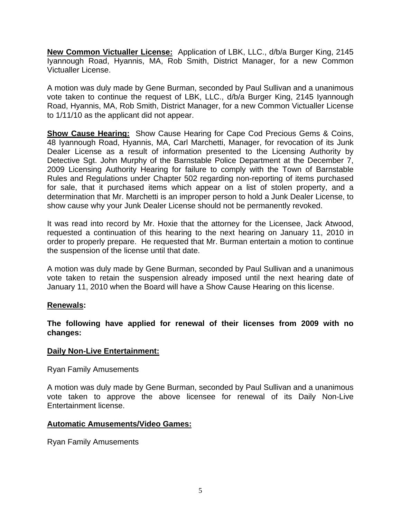**New Common Victualler License:** Application of LBK, LLC., d/b/a Burger King, 2145 Iyannough Road, Hyannis, MA, Rob Smith, District Manager, for a new Common Victualler License.

A motion was duly made by Gene Burman, seconded by Paul Sullivan and a unanimous vote taken to continue the request of LBK, LLC., d/b/a Burger King, 2145 Iyannough Road, Hyannis, MA, Rob Smith, District Manager, for a new Common Victualler License to 1/11/10 as the applicant did not appear.

**Show Cause Hearing:** Show Cause Hearing for Cape Cod Precious Gems & Coins, 48 Iyannough Road, Hyannis, MA, Carl Marchetti, Manager, for revocation of its Junk Dealer License as a result of information presented to the Licensing Authority by Detective Sgt. John Murphy of the Barnstable Police Department at the December 7, 2009 Licensing Authority Hearing for failure to comply with the Town of Barnstable Rules and Regulations under Chapter 502 regarding non-reporting of items purchased for sale, that it purchased items which appear on a list of stolen property, and a determination that Mr. Marchetti is an improper person to hold a Junk Dealer License, to show cause why your Junk Dealer License should not be permanently revoked.

It was read into record by Mr. Hoxie that the attorney for the Licensee, Jack Atwood, requested a continuation of this hearing to the next hearing on January 11, 2010 in order to properly prepare. He requested that Mr. Burman entertain a motion to continue the suspension of the license until that date.

A motion was duly made by Gene Burman, seconded by Paul Sullivan and a unanimous vote taken to retain the suspension already imposed until the next hearing date of January 11, 2010 when the Board will have a Show Cause Hearing on this license.

## **Renewals:**

**The following have applied for renewal of their licenses from 2009 with no changes:** 

## **Daily Non-Live Entertainment:**

Ryan Family Amusements

A motion was duly made by Gene Burman, seconded by Paul Sullivan and a unanimous vote taken to approve the above licensee for renewal of its Daily Non-Live Entertainment license.

## **Automatic Amusements/Video Games:**

Ryan Family Amusements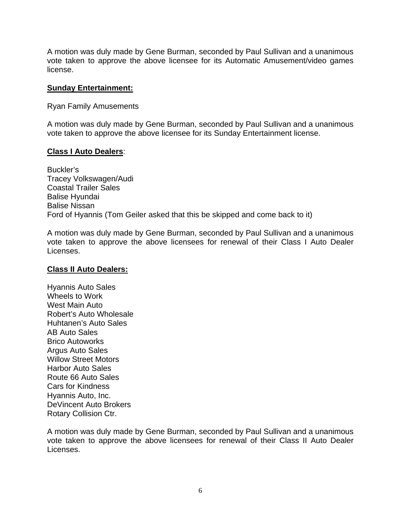A motion was duly made by Gene Burman, seconded by Paul Sullivan and a unanimous vote taken to approve the above licensee for its Automatic Amusement/video games license.

### **Sunday Entertainment:**

Ryan Family Amusements

A motion was duly made by Gene Burman, seconded by Paul Sullivan and a unanimous vote taken to approve the above licensee for its Sunday Entertainment license.

### **Class I Auto Dealers**:

Buckler's Tracey Volkswagen/Audi Coastal Trailer Sales Balise Hyundai Balise Nissan Ford of Hyannis (Tom Geiler asked that this be skipped and come back to it)

A motion was duly made by Gene Burman, seconded by Paul Sullivan and a unanimous vote taken to approve the above licensees for renewal of their Class I Auto Dealer Licenses.

## **Class II Auto Dealers:**

Hyannis Auto Sales Wheels to Work West Main Auto Robert's Auto Wholesale Huhtanen's Auto Sales AB Auto Sales Brico Autoworks Argus Auto Sales Willow Street Motors Harbor Auto Sales Route 66 Auto Sales Cars for Kindness Hyannis Auto, Inc. DeVincent Auto Brokers Rotary Collision Ctr.

A motion was duly made by Gene Burman, seconded by Paul Sullivan and a unanimous vote taken to approve the above licensees for renewal of their Class II Auto Dealer Licenses.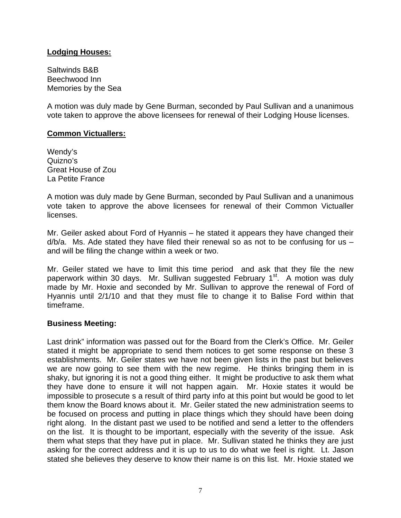## **Lodging Houses:**

Saltwinds B&B Beechwood Inn Memories by the Sea

A motion was duly made by Gene Burman, seconded by Paul Sullivan and a unanimous vote taken to approve the above licensees for renewal of their Lodging House licenses.

### **Common Victuallers:**

Wendy's Quizno's Great House of Zou La Petite France

A motion was duly made by Gene Burman, seconded by Paul Sullivan and a unanimous vote taken to approve the above licensees for renewal of their Common Victualler licenses.

Mr. Geiler asked about Ford of Hyannis – he stated it appears they have changed their  $d/b/a$ . Ms. Ade stated they have filed their renewal so as not to be confusing for us  $$ and will be filing the change within a week or two.

Mr. Geiler stated we have to limit this time period and ask that they file the new paperwork within 30 days. Mr. Sullivan suggested February 1<sup>st</sup>. A motion was duly made by Mr. Hoxie and seconded by Mr. Sullivan to approve the renewal of Ford of Hyannis until 2/1/10 and that they must file to change it to Balise Ford within that timeframe.

## **Business Meeting:**

Last drink" information was passed out for the Board from the Clerk's Office. Mr. Geiler stated it might be appropriate to send them notices to get some response on these 3 establishments. Mr. Geiler states we have not been given lists in the past but believes we are now going to see them with the new regime. He thinks bringing them in is shaky, but ignoring it is not a good thing either. It might be productive to ask them what they have done to ensure it will not happen again. Mr. Hoxie states it would be impossible to prosecute s a result of third party info at this point but would be good to let them know the Board knows about it. Mr. Geiler stated the new administration seems to be focused on process and putting in place things which they should have been doing right along. In the distant past we used to be notified and send a letter to the offenders on the list. It is thought to be important, especially with the severity of the issue. Ask them what steps that they have put in place. Mr. Sullivan stated he thinks they are just asking for the correct address and it is up to us to do what we feel is right. Lt. Jason stated she believes they deserve to know their name is on this list. Mr. Hoxie stated we